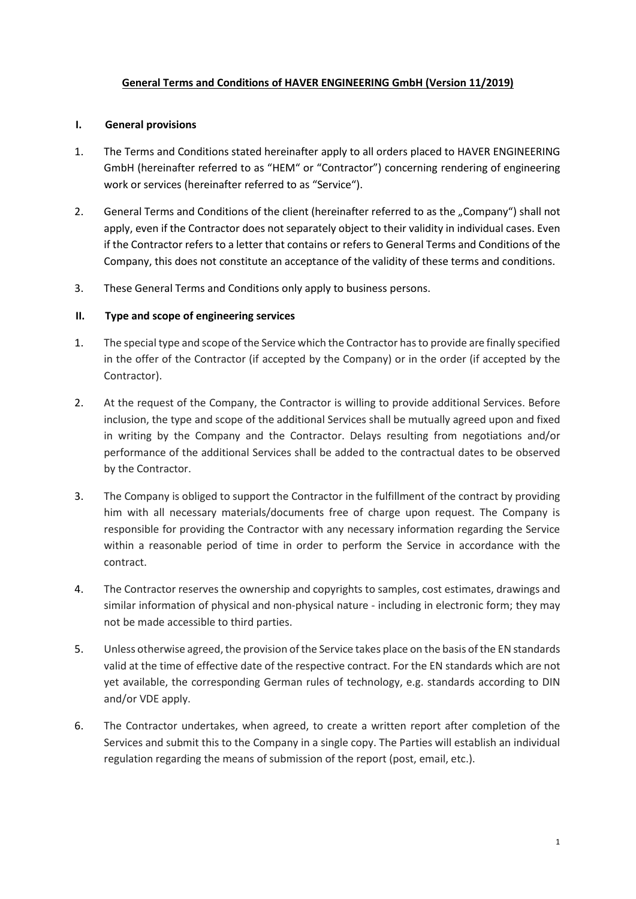# **General Terms and Conditions of HAVER ENGINEERING GmbH (Version 11/2019)**

#### **I. General provisions**

- 1. The Terms and Conditions stated hereinafter apply to all orders placed to HAVER ENGINEERING GmbH (hereinafter referred to as "HEM" or "Contractor") concerning rendering of engineering work or services (hereinafter referred to as "Service").
- 2. General Terms and Conditions of the client (hereinafter referred to as the "Company") shall not apply, even if the Contractor does not separately object to their validity in individual cases. Even if the Contractor refers to a letter that contains or refers to General Terms and Conditions of the Company, this does not constitute an acceptance of the validity of these terms and conditions.
- 3. These General Terms and Conditions only apply to business persons.

## **II. Type and scope of engineering services**

- 1. The special type and scope of the Service which the Contractor has to provide are finally specified in the offer of the Contractor (if accepted by the Company) or in the order (if accepted by the Contractor).
- 2. At the request of the Company, the Contractor is willing to provide additional Services. Before inclusion, the type and scope of the additional Services shall be mutually agreed upon and fixed in writing by the Company and the Contractor. Delays resulting from negotiations and/or performance of the additional Services shall be added to the contractual dates to be observed by the Contractor.
- 3. The Company is obliged to support the Contractor in the fulfillment of the contract by providing him with all necessary materials/documents free of charge upon request. The Company is responsible for providing the Contractor with any necessary information regarding the Service within a reasonable period of time in order to perform the Service in accordance with the contract.
- 4. The Contractor reserves the ownership and copyrights to samples, cost estimates, drawings and similar information of physical and non-physical nature - including in electronic form; they may not be made accessible to third parties.
- 5. Unless otherwise agreed, the provision of the Service takes place on the basis of the EN standards valid at the time of effective date of the respective contract. For the EN standards which are not yet available, the corresponding German rules of technology, e.g. standards according to DIN and/or VDE apply.
- 6. The Contractor undertakes, when agreed, to create a written report after completion of the Services and submit this to the Company in a single copy. The Parties will establish an individual regulation regarding the means of submission of the report (post, email, etc.).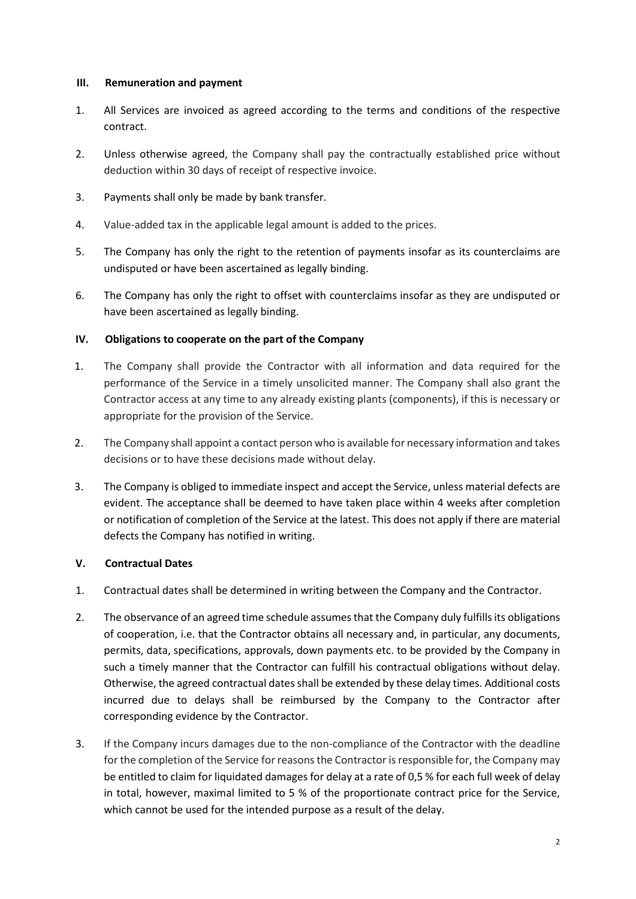#### **III. Remuneration and payment**

- 1. All Services are invoiced as agreed according to the terms and conditions of the respective contract.
- 2. Unless otherwise agreed, the Company shall pay the contractually established price without deduction within 30 days of receipt of respective invoice.
- 3. Payments shall only be made by bank transfer.
- 4. Value-added tax in the applicable legal amount is added to the prices.
- 5. The Company has only the right to the retention of payments insofar as its counterclaims are undisputed or have been ascertained as legally binding.
- 6. The Company has only the right to offset with counterclaims insofar as they are undisputed or have been ascertained as legally binding.

## **IV. Obligations to cooperate on the part of the Company**

- 1. The Company shall provide the Contractor with all information and data required for the performance of the Service in a timely unsolicited manner. The Company shall also grant the Contractor access at any time to any already existing plants (components), if this is necessary or appropriate for the provision of the Service.
- 2. The Company shall appoint a contact person who is available for necessary information and takes decisions or to have these decisions made without delay.
- 3. The Company is obliged to immediate inspect and accept the Service, unless material defects are evident. The acceptance shall be deemed to have taken place within 4 weeks after completion or notification of completion of the Service at the latest. This does not apply if there are material defects the Company has notified in writing.

## **V. Contractual Dates**

- 1. Contractual dates shall be determined in writing between the Company and the Contractor.
- 2. The observance of an agreed time schedule assumes that the Company duly fulfills its obligations of cooperation, i.e. that the Contractor obtains all necessary and, in particular, any documents, permits, data, specifications, approvals, down payments etc. to be provided by the Company in such a timely manner that the Contractor can fulfill his contractual obligations without delay. Otherwise, the agreed contractual dates shall be extended by these delay times. Additional costs incurred due to delays shall be reimbursed by the Company to the Contractor after corresponding evidence by the Contractor.
- 3. If the Company incurs damages due to the non-compliance of the Contractor with the deadline for the completion of the Service for reasons the Contractor is responsible for, the Company may be entitled to claim for liquidated damages for delay at a rate of 0,5 % for each full week of delay in total, however, maximal limited to 5 % of the proportionate contract price for the Service, which cannot be used for the intended purpose as a result of the delay.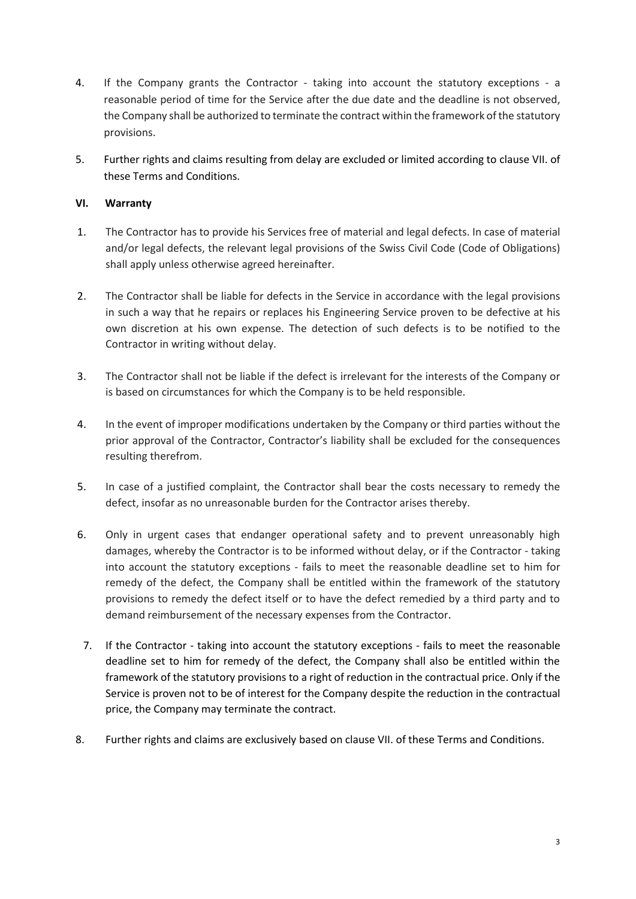- 4. If the Company grants the Contractor taking into account the statutory exceptions a reasonable period of time for the Service after the due date and the deadline is not observed, the Company shall be authorized to terminate the contract within the framework of the statutory provisions.
- 5. Further rights and claims resulting from delay are excluded or limited according to clause VII. of these Terms and Conditions.

## **VI. Warranty**

- 1. The Contractor has to provide his Services free of material and legal defects. In case of material and/or legal defects, the relevant legal provisions of the Swiss Civil Code (Code of Obligations) shall apply unless otherwise agreed hereinafter.
- 2. The Contractor shall be liable for defects in the Service in accordance with the legal provisions in such a way that he repairs or replaces his Engineering Service proven to be defective at his own discretion at his own expense. The detection of such defects is to be notified to the Contractor in writing without delay.
- 3. The Contractor shall not be liable if the defect is irrelevant for the interests of the Company or is based on circumstances for which the Company is to be held responsible.
- 4. In the event of improper modifications undertaken by the Company or third parties without the prior approval of the Contractor, Contractor's liability shall be excluded for the consequences resulting therefrom.
- 5. In case of a justified complaint, the Contractor shall bear the costs necessary to remedy the defect, insofar as no unreasonable burden for the Contractor arises thereby.
- 6. Only in urgent cases that endanger operational safety and to prevent unreasonably high damages, whereby the Contractor is to be informed without delay, or if the Contractor - taking into account the statutory exceptions - fails to meet the reasonable deadline set to him for remedy of the defect, the Company shall be entitled within the framework of the statutory provisions to remedy the defect itself or to have the defect remedied by a third party and to demand reimbursement of the necessary expenses from the Contractor.
- 7. If the Contractor taking into account the statutory exceptions fails to meet the reasonable deadline set to him for remedy of the defect, the Company shall also be entitled within the framework of the statutory provisions to a right of reduction in the contractual price. Only if the Service is proven not to be of interest for the Company despite the reduction in the contractual price, the Company may terminate the contract.
- 8. Further rights and claims are exclusively based on clause VII. of these Terms and Conditions.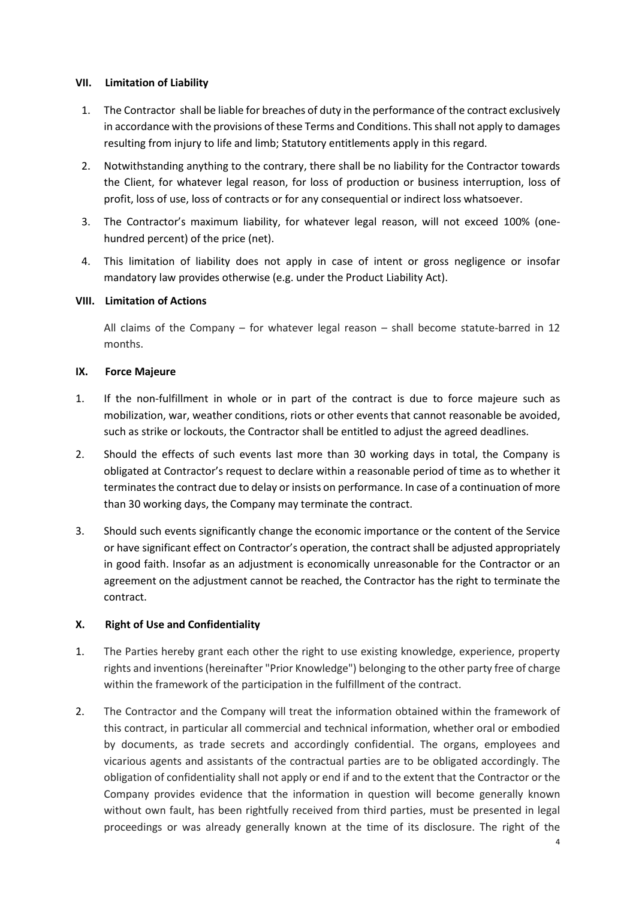### **VII. Limitation of Liability**

- 1. The Contractor shall be liable for breaches of duty in the performance of the contract exclusively in accordance with the provisions of these Terms and Conditions. This shall not apply to damages resulting from injury to life and limb; Statutory entitlements apply in this regard.
- 2. Notwithstanding anything to the contrary, there shall be no liability for the Contractor towards the Client, for whatever legal reason, for loss of production or business interruption, loss of profit, loss of use, loss of contracts or for any consequential or indirect loss whatsoever.
- 3. The Contractor's maximum liability, for whatever legal reason, will not exceed 100% (onehundred percent) of the price (net).
- 4. This limitation of liability does not apply in case of intent or gross negligence or insofar mandatory law provides otherwise (e.g. under the Product Liability Act).

#### **VIII. Limitation of Actions**

All claims of the Company – for whatever legal reason – shall become statute-barred in 12 months.

#### **IX. Force Majeure**

- 1. If the non-fulfillment in whole or in part of the contract is due to force majeure such as mobilization, war, weather conditions, riots or other events that cannot reasonable be avoided, such as strike or lockouts, the Contractor shall be entitled to adjust the agreed deadlines.
- 2. Should the effects of such events last more than 30 working days in total, the Company is obligated at Contractor's request to declare within a reasonable period of time as to whether it terminates the contract due to delay or insists on performance. In case of a continuation of more than 30 working days, the Company may terminate the contract.
- 3. Should such events significantly change the economic importance or the content of the Service or have significant effect on Contractor's operation, the contract shall be adjusted appropriately in good faith. Insofar as an adjustment is economically unreasonable for the Contractor or an agreement on the adjustment cannot be reached, the Contractor has the right to terminate the contract.

## **X. Right of Use and Confidentiality**

- 1. The Parties hereby grant each other the right to use existing knowledge, experience, property rights and inventions (hereinafter "Prior Knowledge") belonging to the other party free of charge within the framework of the participation in the fulfillment of the contract.
- 2. The Contractor and the Company will treat the information obtained within the framework of this contract, in particular all commercial and technical information, whether oral or embodied by documents, as trade secrets and accordingly confidential. The organs, employees and vicarious agents and assistants of the contractual parties are to be obligated accordingly. The obligation of confidentiality shall not apply or end if and to the extent that the Contractor or the Company provides evidence that the information in question will become generally known without own fault, has been rightfully received from third parties, must be presented in legal proceedings or was already generally known at the time of its disclosure. The right of the